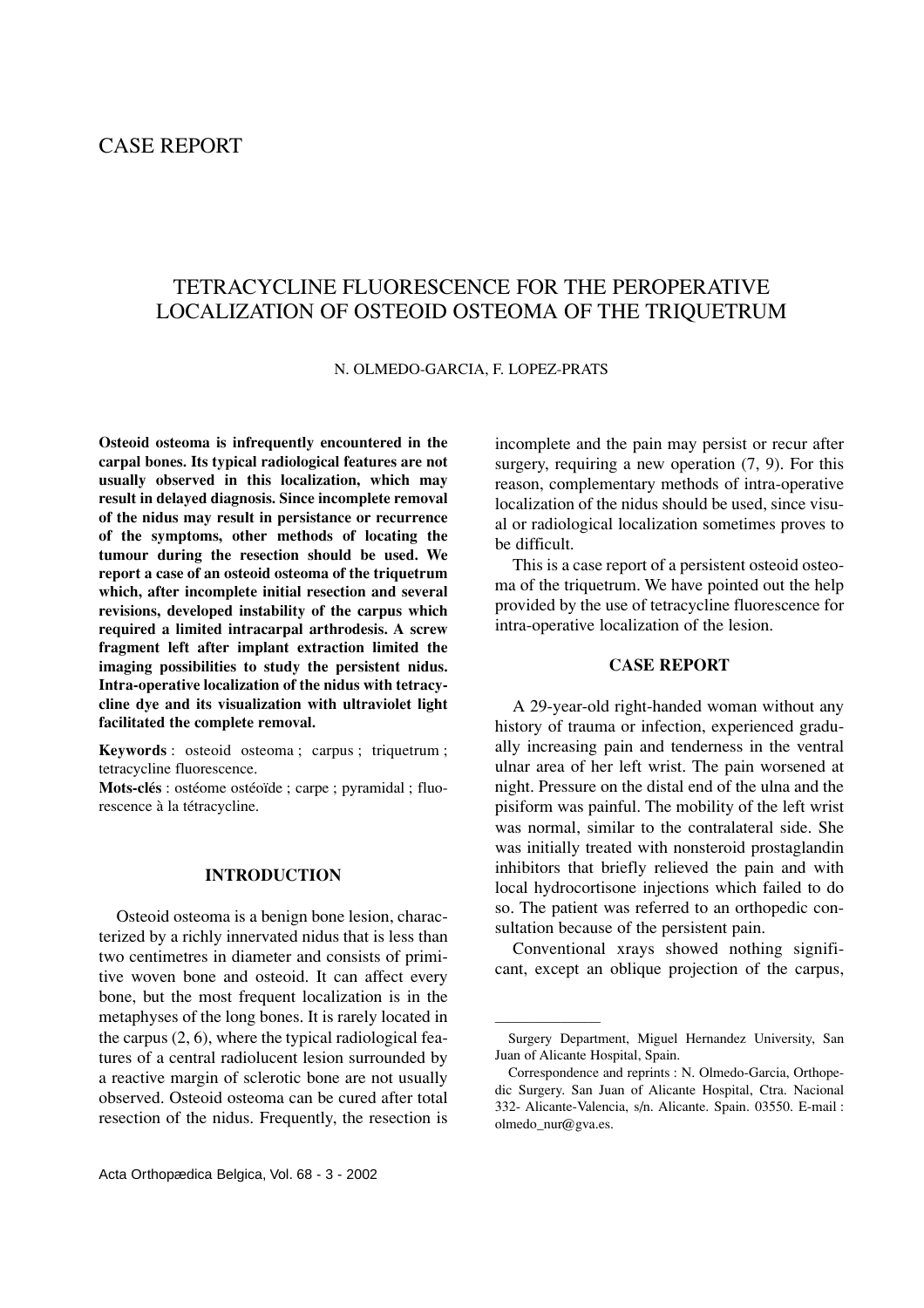# TETRACYCLINE FLUORESCENCE FOR THE PEROPERATIVE LOCALIZATION OF OSTEOID OSTEOMA OF THE TRIQUETRUM

N. OLMEDO-GARCIA, F. LOPEZ-PRATS

**Osteoid osteoma is infrequently encountered in the carpal bones. Its typical radiological features are not usually observed in this localization, which may result in delayed diagnosis. Since incomplete removal of the nidus may result in persistance or recurrence of the symptoms, other methods of locating the tumour during the resection should be used. We report a case of an osteoid osteoma of the triquetrum which, after incomplete initial resection and several revisions, developed instability of the carpus which required a limited intracarpal arthrodesis. A screw fragment left after implant extraction limited the imaging possibilities to study the persistent nidus. Intra-operative localization of the nidus with tetracycline dye and its visualization with ultraviolet light facilitated the complete removal.**

**Keywords** : osteoid osteoma ; carpus ; triquetrum ; tetracycline fluorescence.

**Mots-clés** : ostéome ostéoïde ; carpe ; pyramidal ; fluorescence à la tétracycline.

# **INTRODUCTION**

Osteoid osteoma is a benign bone lesion, characterized by a richly innervated nidus that is less than two centimetres in diameter and consists of primitive woven bone and osteoid. It can affect every bone, but the most frequent localization is in the metaphyses of the long bones. It is rarely located in the carpus (2, 6), where the typical radiological features of a central radiolucent lesion surrounded by a reactive margin of sclerotic bone are not usually observed. Osteoid osteoma can be cured after total resection of the nidus. Frequently, the resection is

incomplete and the pain may persist or recur after surgery, requiring a new operation (7, 9). For this reason, complementary methods of intra-operative localization of the nidus should be used, since visual or radiological localization sometimes proves to be difficult.

This is a case report of a persistent osteoid osteoma of the triquetrum. We have pointed out the help provided by the use of tetracycline fluorescence for intra-operative localization of the lesion.

## **CASE REPORT**

A 29-year-old right-handed woman without any history of trauma or infection, experienced gradually increasing pain and tenderness in the ventral ulnar area of her left wrist. The pain worsened at night. Pressure on the distal end of the ulna and the pisiform was painful. The mobility of the left wrist was normal, similar to the contralateral side. She was initially treated with nonsteroid prostaglandin inhibitors that briefly relieved the pain and with local hydrocortisone injections which failed to do so. The patient was referred to an orthopedic consultation because of the persistent pain.

Conventional xrays showed nothing significant, except an oblique projection of the carpus,

————————

Surgery Department, Miguel Hernandez University, San Juan of Alicante Hospital, Spain.

Correspondence and reprints : N. Olmedo-Garcia, Orthopedic Surgery. San Juan of Alicante Hospital, Ctra. Nacional 332- Alicante-Valencia, s/n. Alicante. Spain. 03550. E-mail : olmedo\_nur@gva.es.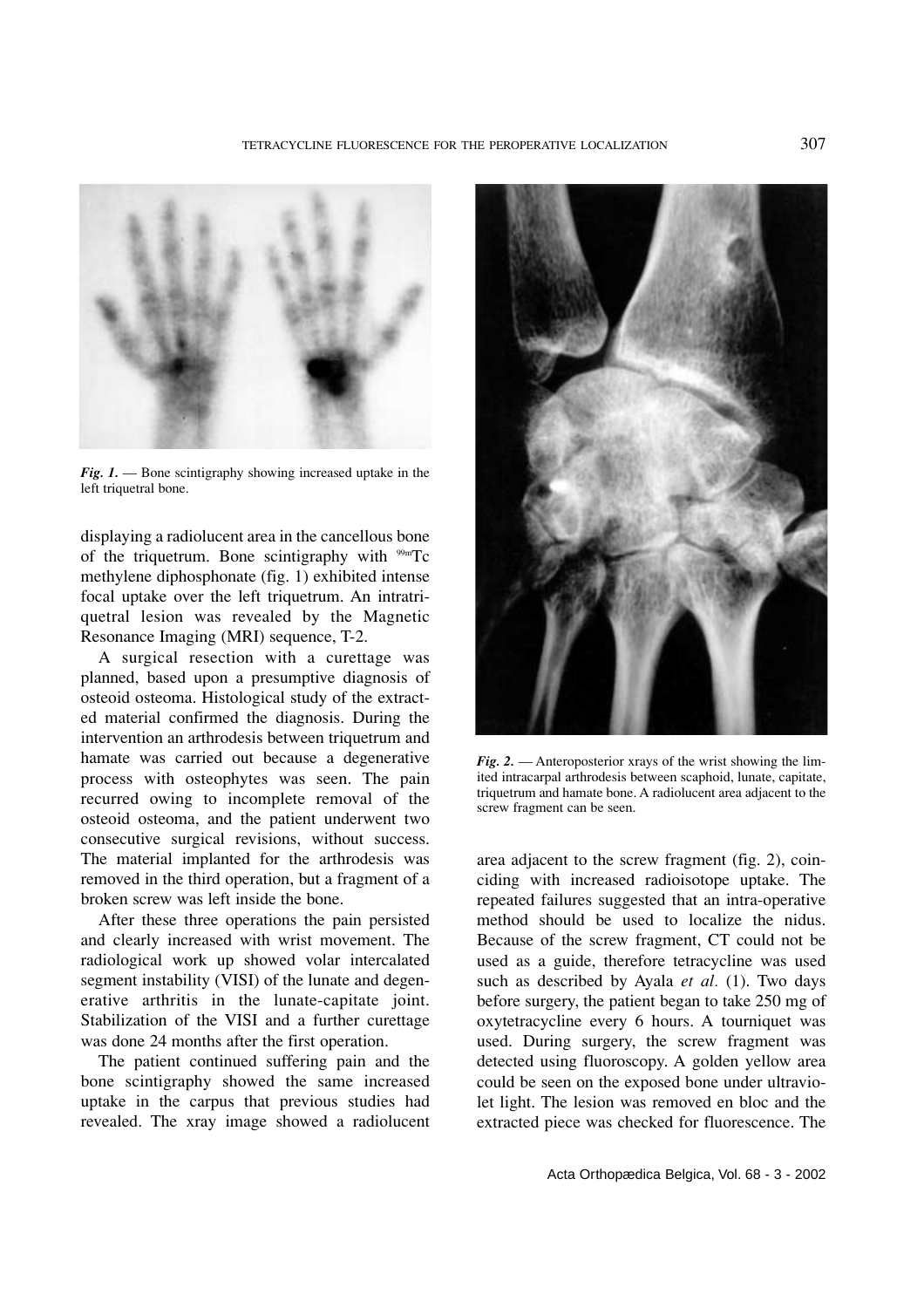

*Fig. 1.* — Bone scintigraphy showing increased uptake in the left triquetral bone.

displaying a radiolucent area in the cancellous bone of the triquetrum. Bone scintigraphy with  $99mTc$ methylene diphosphonate (fig. 1) exhibited intense focal uptake over the left triquetrum. An intratriquetral lesion was revealed by the Magnetic Resonance Imaging (MRI) sequence, T-2.

A surgical resection with a curettage was planned, based upon a presumptive diagnosis of osteoid osteoma. Histological study of the extracted material confirmed the diagnosis. During the intervention an arthrodesis between triquetrum and hamate was carried out because a degenerative process with osteophytes was seen. The pain recurred owing to incomplete removal of the osteoid osteoma, and the patient underwent two consecutive surgical revisions, without success. The material implanted for the arthrodesis was removed in the third operation, but a fragment of a broken screw was left inside the bone.

After these three operations the pain persisted and clearly increased with wrist movement. The radiological work up showed volar intercalated segment instability (VISI) of the lunate and degenerative arthritis in the lunate-capitate joint. Stabilization of the VISI and a further curettage was done 24 months after the first operation.

The patient continued suffering pain and the bone scintigraphy showed the same increased uptake in the carpus that previous studies had revealed. The xray image showed a radiolucent



*Fig. 2.* — Anteroposterior xrays of the wrist showing the limited intracarpal arthrodesis between scaphoid, lunate, capitate, triquetrum and hamate bone. A radiolucent area adjacent to the screw fragment can be seen.

area adjacent to the screw fragment (fig. 2), coinciding with increased radioisotope uptake. The repeated failures suggested that an intra-operative method should be used to localize the nidus. Because of the screw fragment, CT could not be used as a guide, therefore tetracycline was used such as described by Ayala *et al.* (1). Two days before surgery, the patient began to take 250 mg of oxytetracycline every 6 hours. A tourniquet was used. During surgery, the screw fragment was detected using fluoroscopy. A golden yellow area could be seen on the exposed bone under ultraviolet light. The lesion was removed en bloc and the extracted piece was checked for fluorescence. The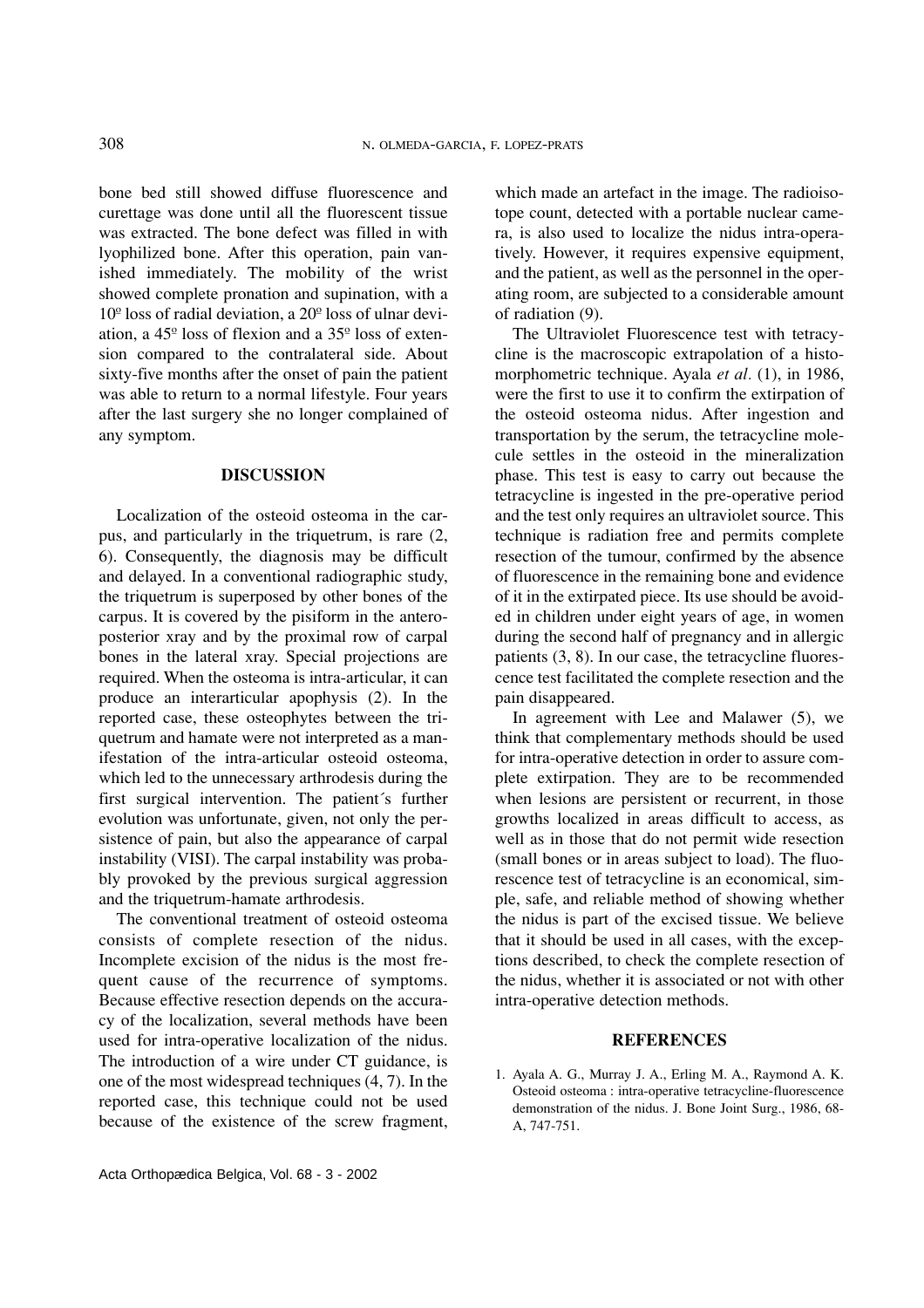bone bed still showed diffuse fluorescence and curettage was done until all the fluorescent tissue was extracted. The bone defect was filled in with lyophilized bone. After this operation, pain vanished immediately. The mobility of the wrist showed complete pronation and supination, with a  $10^{\circ}$  loss of radial deviation, a  $20^{\circ}$  loss of ulnar deviation, a  $45^{\circ}$  loss of flexion and a  $35^{\circ}$  loss of extension compared to the contralateral side. About sixty-five months after the onset of pain the patient was able to return to a normal lifestyle. Four years after the last surgery she no longer complained of any symptom.

## **DISCUSSION**

Localization of the osteoid osteoma in the carpus, and particularly in the triquetrum, is rare (2, 6). Consequently, the diagnosis may be difficult and delayed. In a conventional radiographic study, the triquetrum is superposed by other bones of the carpus. It is covered by the pisiform in the anteroposterior xray and by the proximal row of carpal bones in the lateral xray. Special projections are required. When the osteoma is intra-articular, it can produce an interarticular apophysis (2). In the reported case, these osteophytes between the triquetrum and hamate were not interpreted as a manifestation of the intra-articular osteoid osteoma, which led to the unnecessary arthrodesis during the first surgical intervention. The patient´s further evolution was unfortunate, given, not only the persistence of pain, but also the appearance of carpal instability (VISI). The carpal instability was probably provoked by the previous surgical aggression and the triquetrum-hamate arthrodesis.

The conventional treatment of osteoid osteoma consists of complete resection of the nidus. Incomplete excision of the nidus is the most frequent cause of the recurrence of symptoms. Because effective resection depends on the accuracy of the localization, several methods have been used for intra-operative localization of the nidus. The introduction of a wire under CT guidance, is one of the most widespread techniques (4, 7). In the reported case, this technique could not be used because of the existence of the screw fragment,

which made an artefact in the image. The radioisotope count, detected with a portable nuclear camera, is also used to localize the nidus intra-operatively. However, it requires expensive equipment, and the patient, as well as the personnel in the operating room, are subjected to a considerable amount of radiation (9).

The Ultraviolet Fluorescence test with tetracycline is the macroscopic extrapolation of a histomorphometric technique. Ayala *et al.* (1), in 1986, were the first to use it to confirm the extirpation of the osteoid osteoma nidus. After ingestion and transportation by the serum, the tetracycline molecule settles in the osteoid in the mineralization phase. This test is easy to carry out because the tetracycline is ingested in the pre-operative period and the test only requires an ultraviolet source. This technique is radiation free and permits complete resection of the tumour, confirmed by the absence of fluorescence in the remaining bone and evidence of it in the extirpated piece. Its use should be avoided in children under eight years of age, in women during the second half of pregnancy and in allergic patients (3, 8). In our case, the tetracycline fluorescence test facilitated the complete resection and the pain disappeared.

In agreement with Lee and Malawer (5), we think that complementary methods should be used for intra-operative detection in order to assure complete extirpation. They are to be recommended when lesions are persistent or recurrent, in those growths localized in areas difficult to access, as well as in those that do not permit wide resection (small bones or in areas subject to load). The fluorescence test of tetracycline is an economical, simple, safe, and reliable method of showing whether the nidus is part of the excised tissue. We believe that it should be used in all cases, with the exceptions described, to check the complete resection of the nidus, whether it is associated or not with other intra-operative detection methods.

#### **REFERENCES**

1. Ayala A. G., Murray J. A., Erling M. A., Raymond A. K. Osteoid osteoma : intra-operative tetracycline-fluorescence demonstration of the nidus. J. Bone Joint Surg., 1986, 68- A, 747-751.